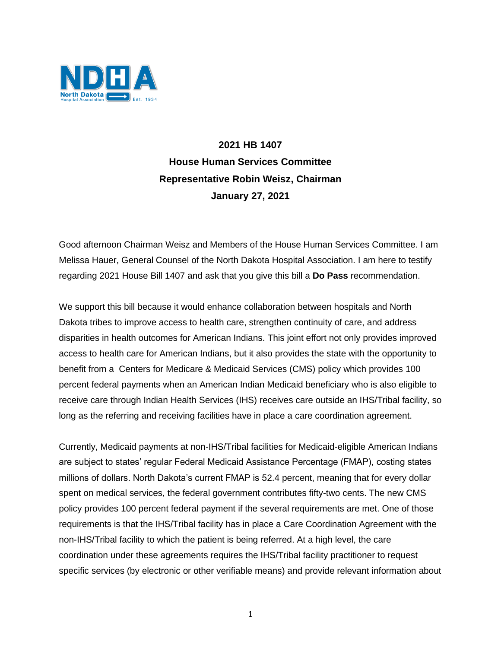

## **2021 HB 1407 House Human Services Committee Representative Robin Weisz, Chairman January 27, 2021**

Good afternoon Chairman Weisz and Members of the House Human Services Committee. I am Melissa Hauer, General Counsel of the North Dakota Hospital Association. I am here to testify regarding 2021 House Bill 1407 and ask that you give this bill a **Do Pass** recommendation.

We support this bill because it would enhance collaboration between hospitals and North Dakota tribes to improve access to health care, strengthen continuity of care, and address disparities in health outcomes for American Indians. This joint effort not only provides improved access to health care for American Indians, but it also provides the state with the opportunity to benefit from a Centers for Medicare & Medicaid Services (CMS) policy which provides 100 percent federal payments when an American Indian Medicaid beneficiary who is also eligible to receive care through Indian Health Services (IHS) receives care outside an IHS/Tribal facility, so long as the referring and receiving facilities have in place a care coordination agreement.

Currently, Medicaid payments at non-IHS/Tribal facilities for Medicaid-eligible American Indians are subject to states' regular Federal Medicaid Assistance Percentage (FMAP), costing states millions of dollars. North Dakota's current FMAP is 52.4 percent, meaning that for every dollar spent on medical services, the federal government contributes fifty-two cents. The new CMS policy provides 100 percent federal payment if the several requirements are met. One of those requirements is that the IHS/Tribal facility has in place a Care Coordination Agreement with the non-IHS/Tribal facility to which the patient is being referred. At a high level, the care coordination under these agreements requires the IHS/Tribal facility practitioner to request specific services (by electronic or other verifiable means) and provide relevant information about

1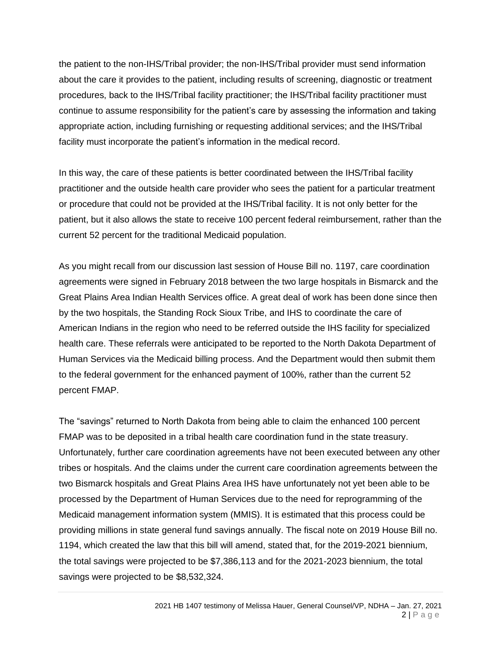the patient to the non-IHS/Tribal provider; the non-IHS/Tribal provider must send information about the care it provides to the patient, including results of screening, diagnostic or treatment procedures, back to the IHS/Tribal facility practitioner; the IHS/Tribal facility practitioner must continue to assume responsibility for the patient's care by assessing the information and taking appropriate action, including furnishing or requesting additional services; and the IHS/Tribal facility must incorporate the patient's information in the medical record.

In this way, the care of these patients is better coordinated between the IHS/Tribal facility practitioner and the outside health care provider who sees the patient for a particular treatment or procedure that could not be provided at the IHS/Tribal facility. It is not only better for the patient, but it also allows the state to receive 100 percent federal reimbursement, rather than the current 52 percent for the traditional Medicaid population.

As you might recall from our discussion last session of House Bill no. 1197, care coordination agreements were signed in February 2018 between the two large hospitals in Bismarck and the Great Plains Area Indian Health Services office. A great deal of work has been done since then by the two hospitals, the Standing Rock Sioux Tribe, and IHS to coordinate the care of American Indians in the region who need to be referred outside the IHS facility for specialized health care. These referrals were anticipated to be reported to the North Dakota Department of Human Services via the Medicaid billing process. And the Department would then submit them to the federal government for the enhanced payment of 100%, rather than the current 52 percent FMAP.

The "savings" returned to North Dakota from being able to claim the enhanced 100 percent FMAP was to be deposited in a tribal health care coordination fund in the state treasury. Unfortunately, further care coordination agreements have not been executed between any other tribes or hospitals. And the claims under the current care coordination agreements between the two Bismarck hospitals and Great Plains Area IHS have unfortunately not yet been able to be processed by the Department of Human Services due to the need for reprogramming of the Medicaid management information system (MMIS). It is estimated that this process could be providing millions in state general fund savings annually. The fiscal note on 2019 House Bill no. 1194, which created the law that this bill will amend, stated that, for the 2019-2021 biennium, the total savings were projected to be \$7,386,113 and for the 2021-2023 biennium, the total savings were projected to be \$8,532,324.